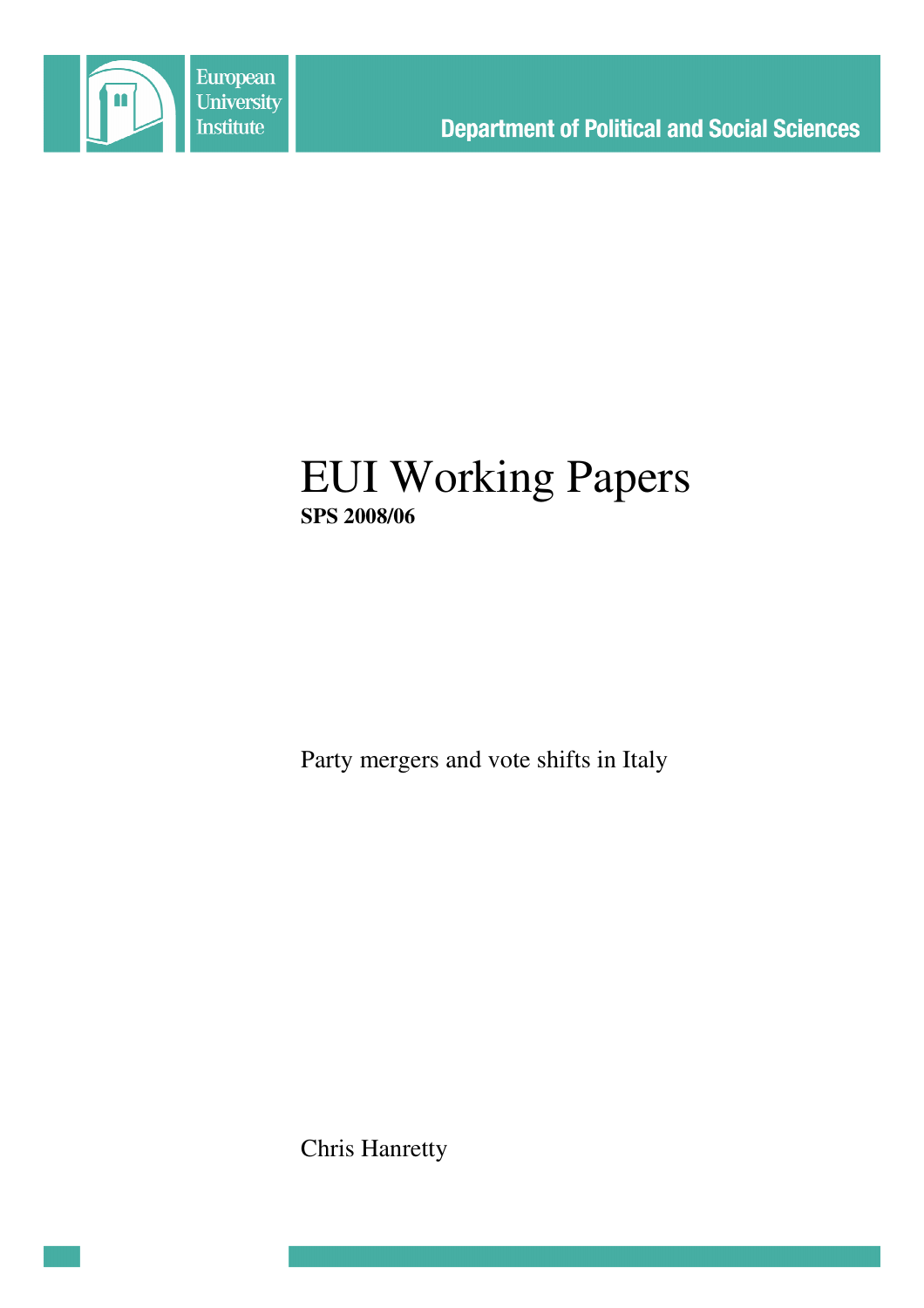

# EUI Working Papers **SPS 2008/06**

Party mergers and vote shifts in Italy

Chris Hanretty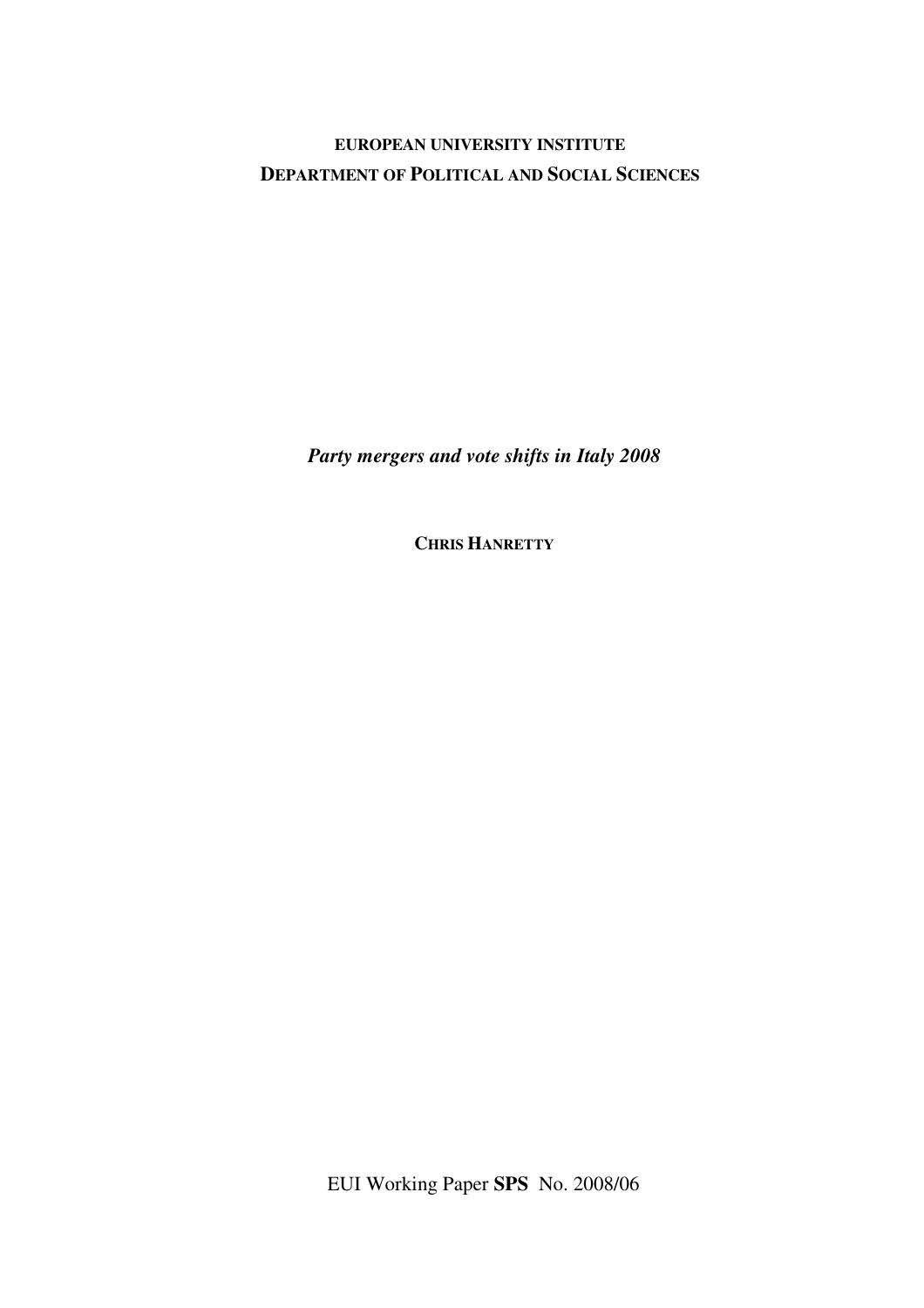**EUROPEAN UNIVERSITY INSTITUTE DEPARTMENT OF POLITICAL AND SOCIAL SCIENCES**

*Party mergers and vote shifts in Italy 2008*

**CHRIS HANRETTY**

EUI Working Paper **SPS** No. 2008/06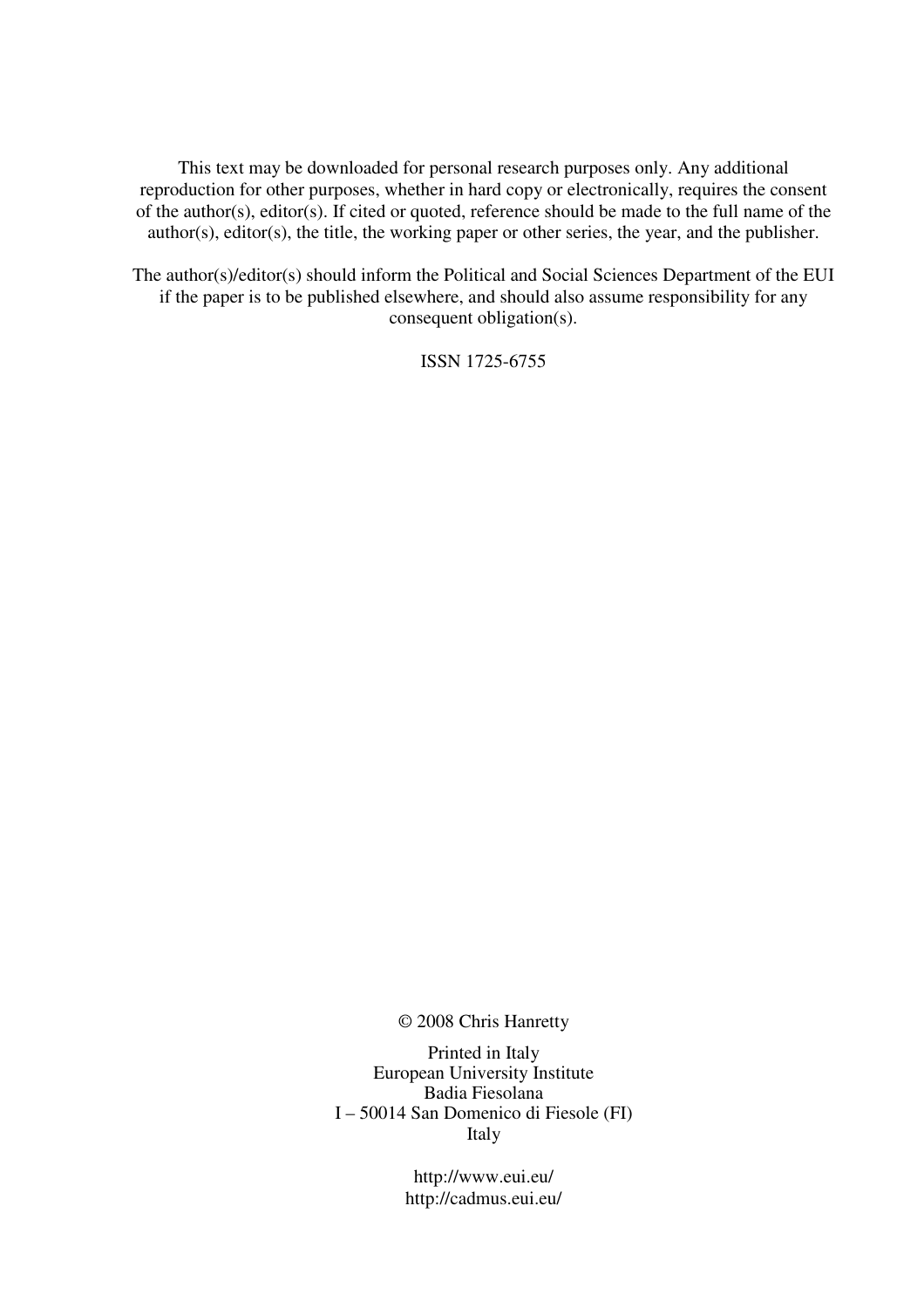This text may be downloaded for personal research purposes only. Any additional reproduction for other purposes, whether in hard copy or electronically, requires the consent of the author(s), editor(s). If cited or quoted, reference should be made to the full name of the author(s), editor(s), the title, the working paper or other series, the year, and the publisher.

The author(s)/editor(s) should inform the Political and Social Sciences Department of the EUI if the paper is to be published elsewhere, and should also assume responsibility for any consequent obligation(s).

ISSN 1725-6755

© 2008 Chris Hanretty

Printed in Italy European University Institute Badia Fiesolana I – 50014 San Domenico di Fiesole (FI) Italy

> http://www.eui.eu/ http://cadmus.eui.eu/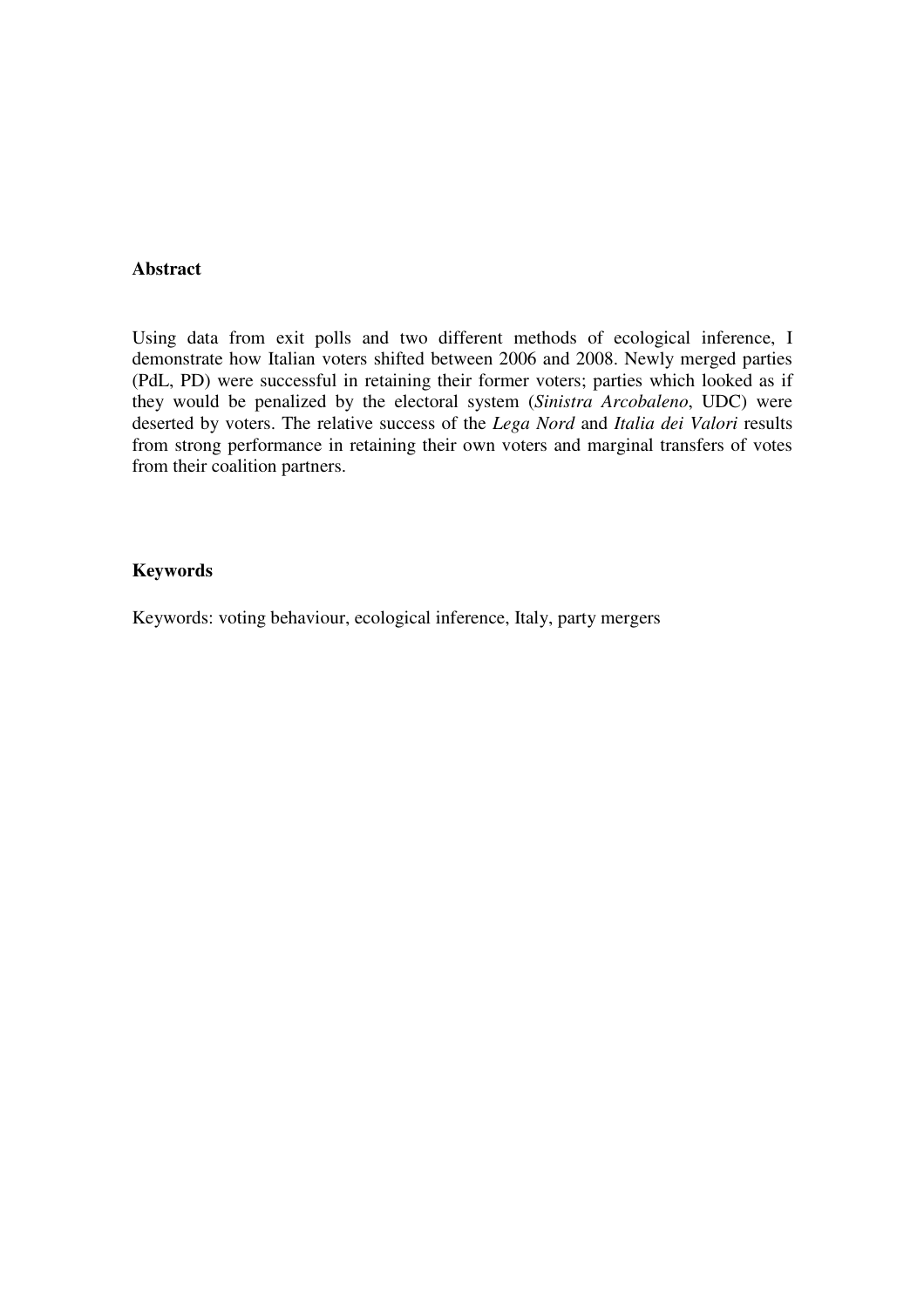#### **Abstract**

Using data from exit polls and two different methods of ecological inference, I demonstrate how Italian voters shifted between 2006 and 2008. Newly merged parties (PdL, PD) were successful in retaining their former voters; parties which looked as if they would be penalized by the electoral system (*Sinistra Arcobaleno*, UDC) were deserted by voters. The relative success of the *Lega Nord* and *Italia dei Valori* results from strong performance in retaining their own voters and marginal transfers of votes from their coalition partners.

#### **Keywords**

Keywords: voting behaviour, ecological inference, Italy, party mergers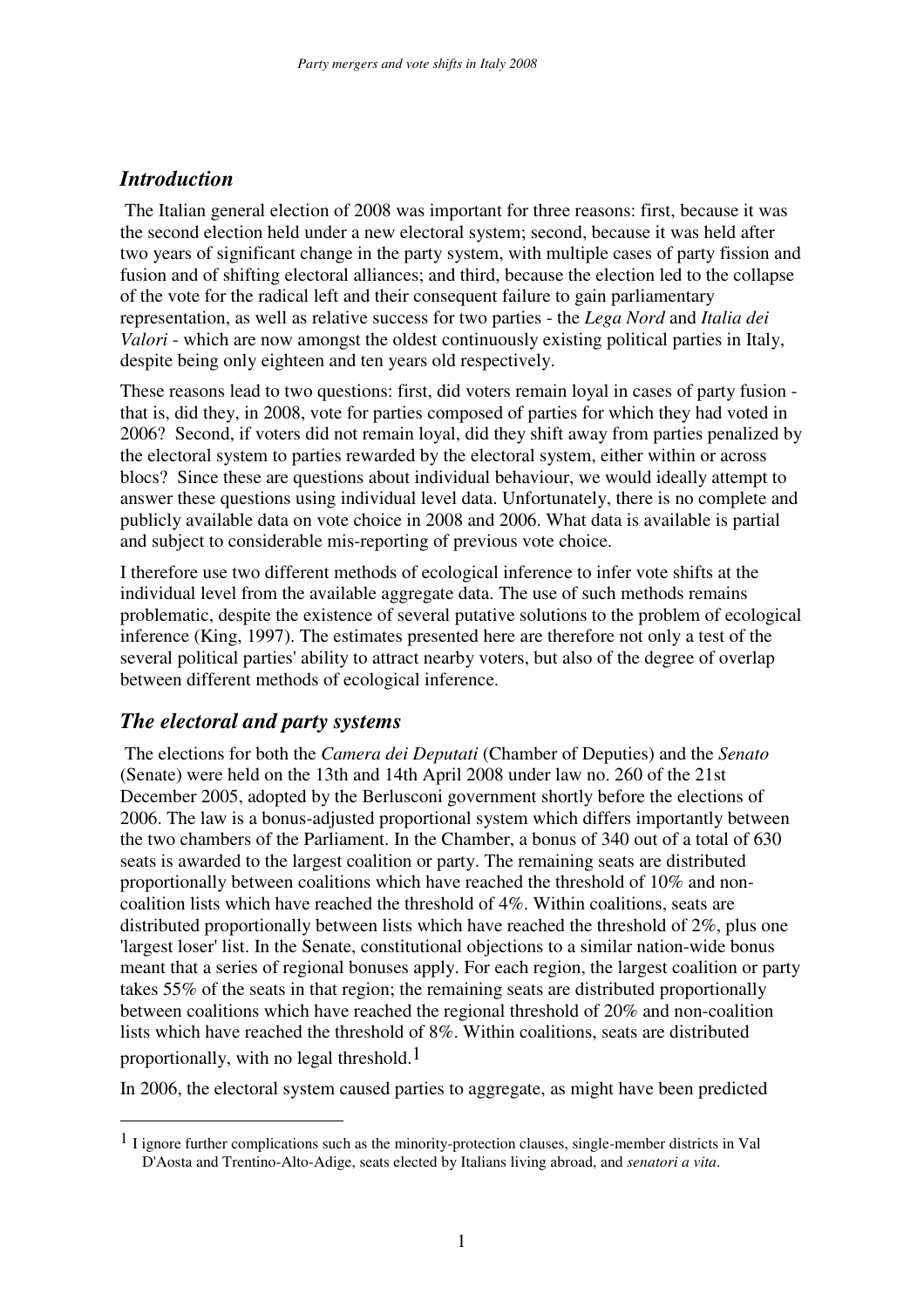## *Introduction*

The Italian general election of 2008 was important for three reasons: first, because it was the second election held under a new electoral system; second, because it was held after two years of significant change in the party system, with multiple cases of party fission and fusion and of shifting electoral alliances; and third, because the election led to the collapse of the vote for the radical left and their consequent failure to gain parliamentary representation, as well as relative success for two parties - the *Lega Nord* and *Italia dei Valori* - which are now amongst the oldest continuously existing political parties in Italy, despite being only eighteen and ten years old respectively.

These reasons lead to two questions: first, did voters remain loyal in cases of party fusion that is, did they, in 2008, vote for parties composed of parties for which they had voted in 2006? Second, if voters did not remain loyal, did they shift away from parties penalized by the electoral system to parties rewarded by the electoral system, either within or across blocs? Since these are questions about individual behaviour, we would ideally attempt to answer these questions using individual level data. Unfortunately, there is no complete and publicly available data on vote choice in 2008 and 2006. What data is available is partial and subject to considerable mis-reporting of previous vote choice.

I therefore use two different methods of ecological inference to infer vote shifts at the individual level from the available aggregate data. The use of such methods remains problematic, despite the existence of several putative solutions to the problem of ecological inference (King, 1997). The estimates presented here are therefore not only a test of the several political parties' ability to attract nearby voters, but also of the degree of overlap between different methods of ecological inference.

### *The electoral and party systems*

The elections for both the *Camera dei Deputati* (Chamber of Deputies) and the *Senato* (Senate) were held on the 13th and 14th April 2008 under law no. 260 of the 21st December 2005, adopted by the Berlusconi government shortly before the elections of 2006. The law is a bonus-adjusted proportional system which differs importantly between the two chambers of the Parliament. In the Chamber, a bonus of 340 out of a total of 630 seats is awarded to the largest coalition or party. The remaining seats are distributed proportionally between coalitions which have reached the threshold of 10% and noncoalition lists which have reached the threshold of 4%. Within coalitions, seats are distributed proportionally between lists which have reached the threshold of 2%, plus one 'largest loser' list. In the Senate, constitutional objections to a similar nation-wide bonus meant that a series of regional bonuses apply. For each region, the largest coalition or party takes 55% of the seats in that region; the remaining seats are distributed proportionally between coalitions which have reached the regional threshold of 20% and non-coalition lists which have reached the threshold of 8%. Within coalitions, seats are distributed proportionally, with no legal threshold.<sup>1</sup>

In 2006, the electoral system caused parties to aggregate, as might have been predicted

<sup>1</sup> I ignore further complications such as the minority-protection clauses, single-member districts in Val D'Aosta and Trentino-Alto-Adige, seats elected by Italians living abroad, and *senatori a vita*.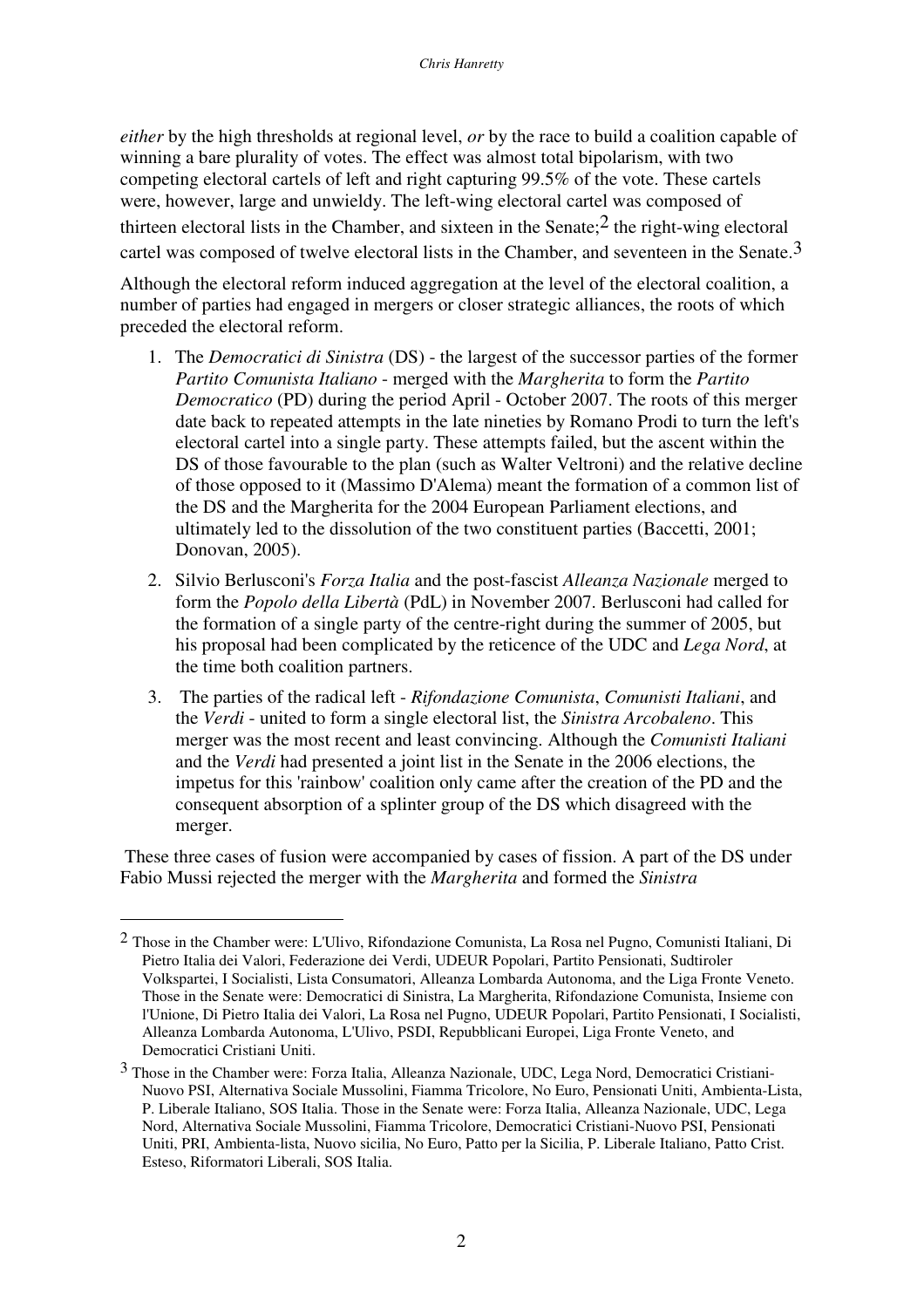*either* by the high thresholds at regional level, *or* by the race to build a coalition capable of winning a bare plurality of votes. The effect was almost total bipolarism, with two competing electoral cartels of left and right capturing 99.5% of the vote. These cartels were, however, large and unwieldy. The left-wing electoral cartel was composed of thirteen electoral lists in the Chamber, and sixteen in the Senate;  $2$  the right-wing electoral cartel was composed of twelve electoral lists in the Chamber, and seventeen in the Senate.<sup>3</sup>

Although the electoral reform induced aggregation at the level of the electoral coalition, a number of parties had engaged in mergers or closer strategic alliances, the roots of which preceded the electoral reform.

- 1. The *Democratici di Sinistra* (DS) the largest of the successor parties of the former *Partito Comunista Italiano* - merged with the *Margherita* to form the *Partito Democratico* (PD) during the period April - October 2007. The roots of this merger date back to repeated attempts in the late nineties by Romano Prodi to turn the left's electoral cartel into a single party. These attempts failed, but the ascent within the DS of those favourable to the plan (such as Walter Veltroni) and the relative decline of those opposed to it (Massimo D'Alema) meant the formation of a common list of the DS and the Margherita for the 2004 European Parliament elections, and ultimately led to the dissolution of the two constituent parties (Baccetti, 2001; Donovan, 2005).
- 2. Silvio Berlusconi's *Forza Italia* and the post-fascist *Alleanza Nazionale* merged to form the *Popolo della Libertà* (PdL) in November 2007. Berlusconi had called for the formation of a single party of the centre-right during the summer of 2005, but his proposal had been complicated by the reticence of the UDC and *Lega Nord*, at the time both coalition partners.
- 3. The parties of the radical left *Rifondazione Comunista*, *Comunisti Italiani*, and the *Verdi* - united to form a single electoral list, the *Sinistra Arcobaleno*. This merger was the most recent and least convincing. Although the *Comunisti Italiani* and the *Verdi* had presented a joint list in the Senate in the 2006 elections, the impetus for this 'rainbow' coalition only came after the creation of the PD and the consequent absorption of a splinter group of the DS which disagreed with the merger.

These three cases of fusion were accompanied by cases of fission. A part of the DS under Fabio Mussi rejected the merger with the *Margherita* and formed the *Sinistra*

<sup>2</sup> Those in the Chamber were: L'Ulivo, Rifondazione Comunista, La Rosa nel Pugno, Comunisti Italiani, Di Pietro Italia dei Valori, Federazione dei Verdi, UDEUR Popolari, Partito Pensionati, Sudtiroler Volkspartei, I Socialisti, Lista Consumatori, Alleanza Lombarda Autonoma, and the Liga Fronte Veneto. Those in the Senate were: Democratici di Sinistra, La Margherita, Rifondazione Comunista, Insieme con l'Unione, Di Pietro Italia dei Valori, La Rosa nel Pugno, UDEUR Popolari, Partito Pensionati, I Socialisti, Alleanza Lombarda Autonoma, L'Ulivo, PSDI, Repubblicani Europei, Liga Fronte Veneto, and Democratici Cristiani Uniti.

<sup>3</sup> Those in the Chamber were: Forza Italia, Alleanza Nazionale, UDC, Lega Nord, Democratici Cristiani-Nuovo PSI, Alternativa Sociale Mussolini, Fiamma Tricolore, No Euro, Pensionati Uniti, Ambienta-Lista, P. Liberale Italiano, SOS Italia. Those in the Senate were: Forza Italia, Alleanza Nazionale, UDC, Lega Nord, Alternativa Sociale Mussolini, Fiamma Tricolore, Democratici Cristiani-Nuovo PSI, Pensionati Uniti, PRI, Ambienta-lista, Nuovo sicilia, No Euro, Patto per la Sicilia, P. Liberale Italiano, Patto Crist. Esteso, Riformatori Liberali, SOS Italia.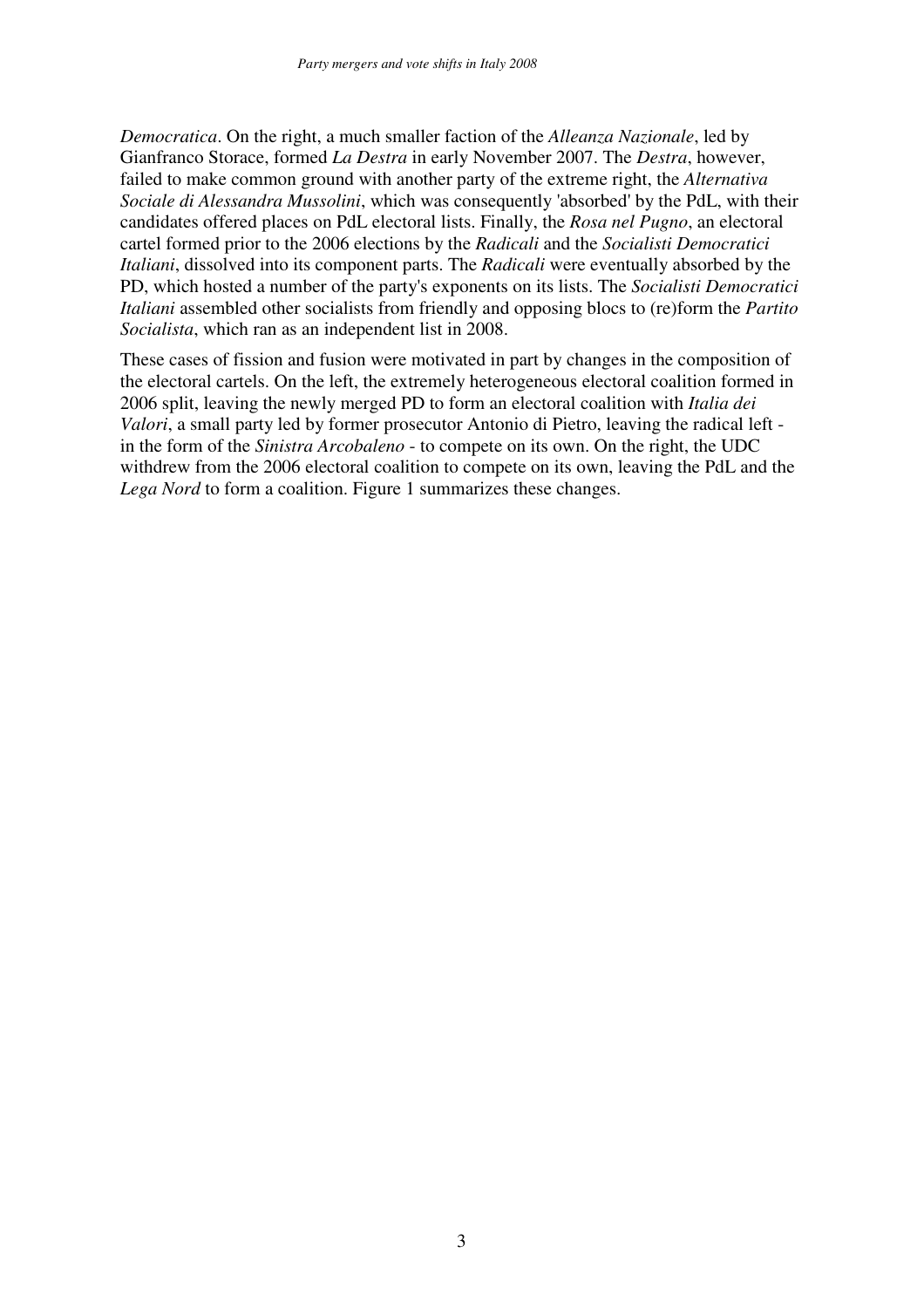*Democratica*. On the right, a much smaller faction of the *Alleanza Nazionale*, led by Gianfranco Storace, formed *La Destra* in early November 2007. The *Destra*, however, failed to make common ground with another party of the extreme right, the *Alternativa Sociale di Alessandra Mussolini*, which was consequently 'absorbed' by the PdL, with their candidates offered places on PdL electoral lists. Finally, the *Rosa nel Pugno*, an electoral cartel formed prior to the 2006 elections by the *Radicali* and the *Socialisti Democratici Italiani*, dissolved into its component parts. The *Radicali* were eventually absorbed by the PD, which hosted a number of the party's exponents on its lists. The *Socialisti Democratici Italiani* assembled other socialists from friendly and opposing blocs to (re)form the *Partito Socialista*, which ran as an independent list in 2008.

These cases of fission and fusion were motivated in part by changes in the composition of the electoral cartels. On the left, the extremely heterogeneous electoral coalition formed in 2006 split, leaving the newly merged PD to form an electoral coalition with *Italia dei Valori*, a small party led by former prosecutor Antonio di Pietro, leaving the radical left in the form of the *Sinistra Arcobaleno* - to compete on its own. On the right, the UDC withdrew from the 2006 electoral coalition to compete on its own, leaving the PdL and the *Lega Nord* to form a coalition. Figure 1 summarizes these changes.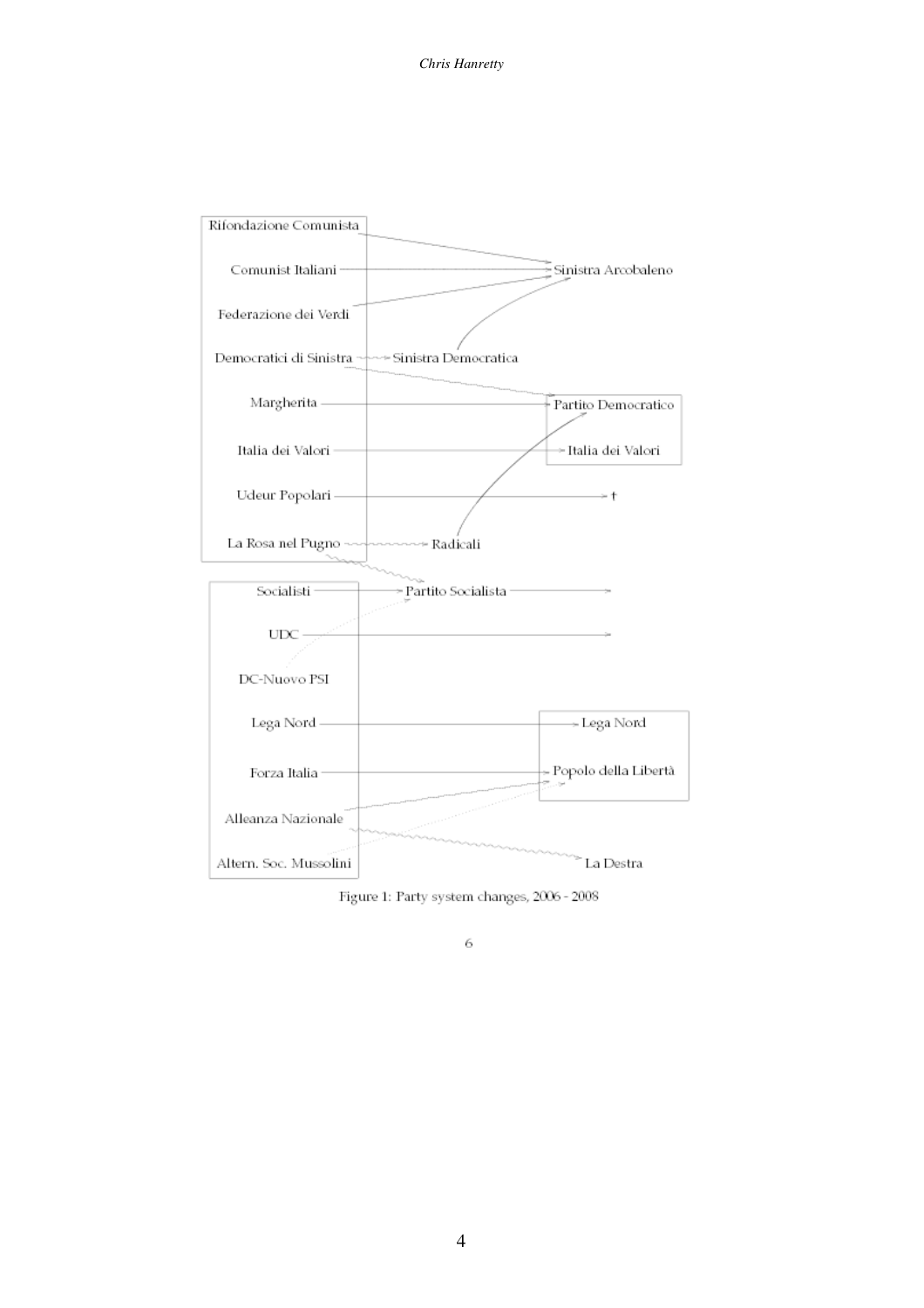*Chris Hanretty*



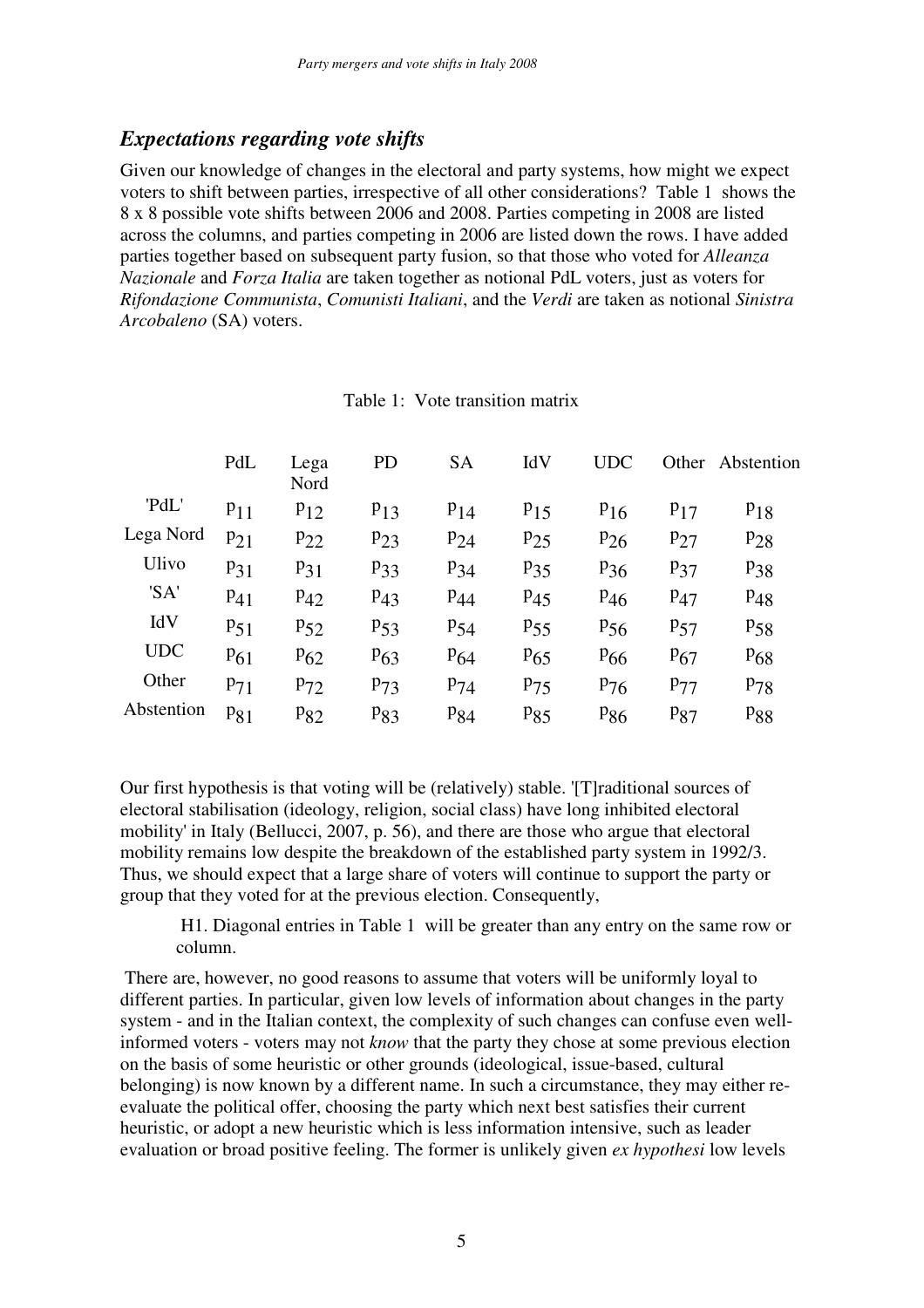#### *Expectations regarding vote shifts*

Given our knowledge of changes in the electoral and party systems, how might we expect voters to shift between parties, irrespective of all other considerations? Table 1 shows the 8 x 8 possible vote shifts between 2006 and 2008. Parties competing in 2008 are listed across the columns, and parties competing in 2006 are listed down the rows. I have added parties together based on subsequent party fusion, so that those who voted for *Alleanza Nazionale* and *Forza Italia* are taken together as notional PdL voters, just as voters for *Rifondazione Communista*, *Comunisti Italiani*, and the *Verdi* are taken as notional *Sinistra Arcobaleno* (SA) voters.

|            | PdL      | Lega<br>Nord | <b>PD</b> | <b>SA</b> | IdV      | <b>UDC</b>      |          | Other Abstention |
|------------|----------|--------------|-----------|-----------|----------|-----------------|----------|------------------|
| 'PdL'      | $P_{11}$ | $P_{12}$     | $P_{13}$  | $P_{14}$  | $P_{15}$ | $P_{16}$        | $P_{17}$ | $P_{18}$         |
| Lega Nord  | $P_{21}$ | $P_{22}$     | $P_{23}$  | $P_{24}$  | $P_{25}$ | $P_{26}$        | $P_{27}$ | $P_{28}$         |
| Ulivo      | $P_{31}$ | $P_{31}$     | $P_{33}$  | $P_{34}$  | $P_{35}$ | $P_{36}$        | $P_{37}$ | $P_{38}$         |
| 'SA'       | $P_{41}$ | $P_{42}$     | $P_{43}$  | $P_{44}$  | $P_{45}$ | $P_{46}$        | $P_{47}$ | $P_{48}$         |
| IdV        | $P_{51}$ | $P_{52}$     | $P_{53}$  | $P_{54}$  | $P_{55}$ | $P_{56}$        | $P_{57}$ | $P_{58}$         |
| <b>UDC</b> | $P_{61}$ | $P_{62}$     | $P_{63}$  | $P_{64}$  | $P_{65}$ | $P_{66}$        | $P_{67}$ | $P_{68}$         |
| Other      | $P_{71}$ | $P_{72}$     | $P_{73}$  | $P_{74}$  | $P_{75}$ | $P_{76}$        | $P_{77}$ | $P_{78}$         |
| Abstention | $P_{81}$ | $P_{82}$     | $P_{83}$  | $P_{84}$  | $P_{85}$ | P <sub>86</sub> | $P_{87}$ | P <sub>88</sub>  |

Table 1: Vote transition matrix

Our first hypothesis is that voting will be (relatively) stable. '[T]raditional sources of electoral stabilisation (ideology, religion, social class) have long inhibited electoral mobility' in Italy (Bellucci, 2007, p. 56), and there are those who argue that electoral mobility remains low despite the breakdown of the established party system in 1992/3. Thus, we should expect that a large share of voters will continue to support the party or group that they voted for at the previous election. Consequently,

H1. Diagonal entries in Table 1 will be greater than any entry on the same row or column.

There are, however, no good reasons to assume that voters will be uniformly loyal to different parties. In particular, given low levels of information about changes in the party system - and in the Italian context, the complexity of such changes can confuse even wellinformed voters - voters may not *know* that the party they chose at some previous election on the basis of some heuristic or other grounds (ideological, issue-based, cultural belonging) is now known by a different name. In such a circumstance, they may either reevaluate the political offer, choosing the party which next best satisfies their current heuristic, or adopt a new heuristic which is less information intensive, such as leader evaluation or broad positive feeling. The former is unlikely given *ex hypothesi* low levels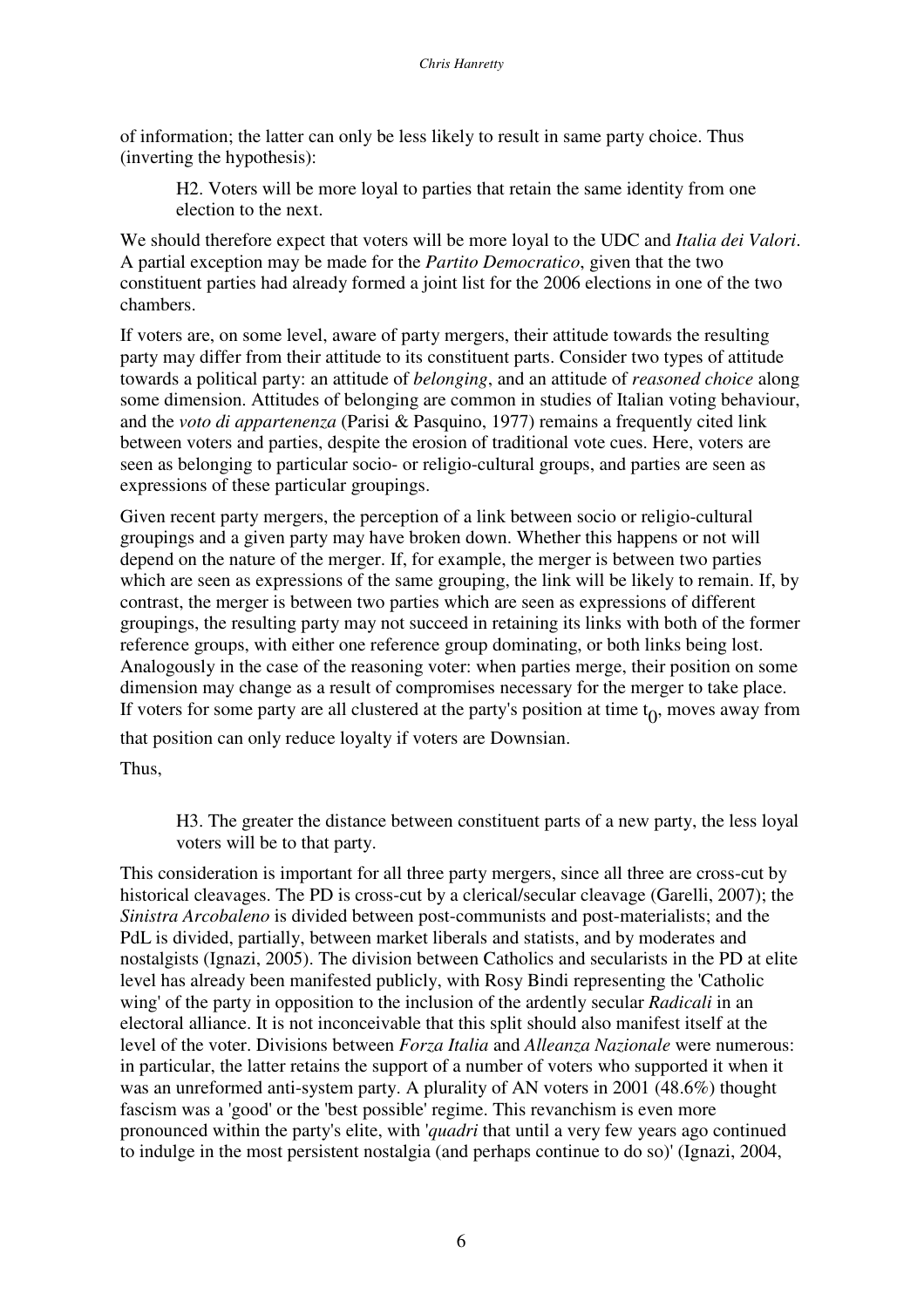of information; the latter can only be less likely to result in same party choice. Thus (inverting the hypothesis):

H2. Voters will be more loyal to parties that retain the same identity from one election to the next.

We should therefore expect that voters will be more loyal to the UDC and *Italia dei Valori*. A partial exception may be made for the *Partito Democratico*, given that the two constituent parties had already formed a joint list for the 2006 elections in one of the two chambers.

If voters are, on some level, aware of party mergers, their attitude towards the resulting party may differ from their attitude to its constituent parts. Consider two types of attitude towards a political party: an attitude of *belonging*, and an attitude of *reasoned choice* along some dimension. Attitudes of belonging are common in studies of Italian voting behaviour, and the *voto di appartenenza* (Parisi & Pasquino, 1977) remains a frequently cited link between voters and parties, despite the erosion of traditional vote cues. Here, voters are seen as belonging to particular socio- or religio-cultural groups, and parties are seen as expressions of these particular groupings.

Given recent party mergers, the perception of a link between socio or religio-cultural groupings and a given party may have broken down. Whether this happens or not will depend on the nature of the merger. If, for example, the merger is between two parties which are seen as expressions of the same grouping, the link will be likely to remain. If, by contrast, the merger is between two parties which are seen as expressions of different groupings, the resulting party may not succeed in retaining its links with both of the former reference groups, with either one reference group dominating, or both links being lost. Analogously in the case of the reasoning voter: when parties merge, their position on some dimension may change as a result of compromises necessary for the merger to take place. If voters for some party are all clustered at the party's position at time  $t_0$ , moves away from

that position can only reduce loyalty if voters are Downsian.

Thus,

H3. The greater the distance between constituent parts of a new party, the less loyal voters will be to that party.

This consideration is important for all three party mergers, since all three are cross-cut by historical cleavages. The PD is cross-cut by a clerical/secular cleavage (Garelli, 2007); the *Sinistra Arcobaleno* is divided between post-communists and post-materialists; and the PdL is divided, partially, between market liberals and statists, and by moderates and nostalgists (Ignazi, 2005). The division between Catholics and secularists in the PD at elite level has already been manifested publicly, with Rosy Bindi representing the 'Catholic wing' of the party in opposition to the inclusion of the ardently secular *Radicali* in an electoral alliance. It is not inconceivable that this split should also manifest itself at the level of the voter. Divisions between *Forza Italia* and *Alleanza Nazionale* were numerous: in particular, the latter retains the support of a number of voters who supported it when it was an unreformed anti-system party. A plurality of AN voters in 2001 (48.6%) thought fascism was a 'good' or the 'best possible' regime. This revanchism is even more pronounced within the party's elite, with '*quadri* that until a very few years ago continued to indulge in the most persistent nostalgia (and perhaps continue to do so)' (Ignazi, 2004,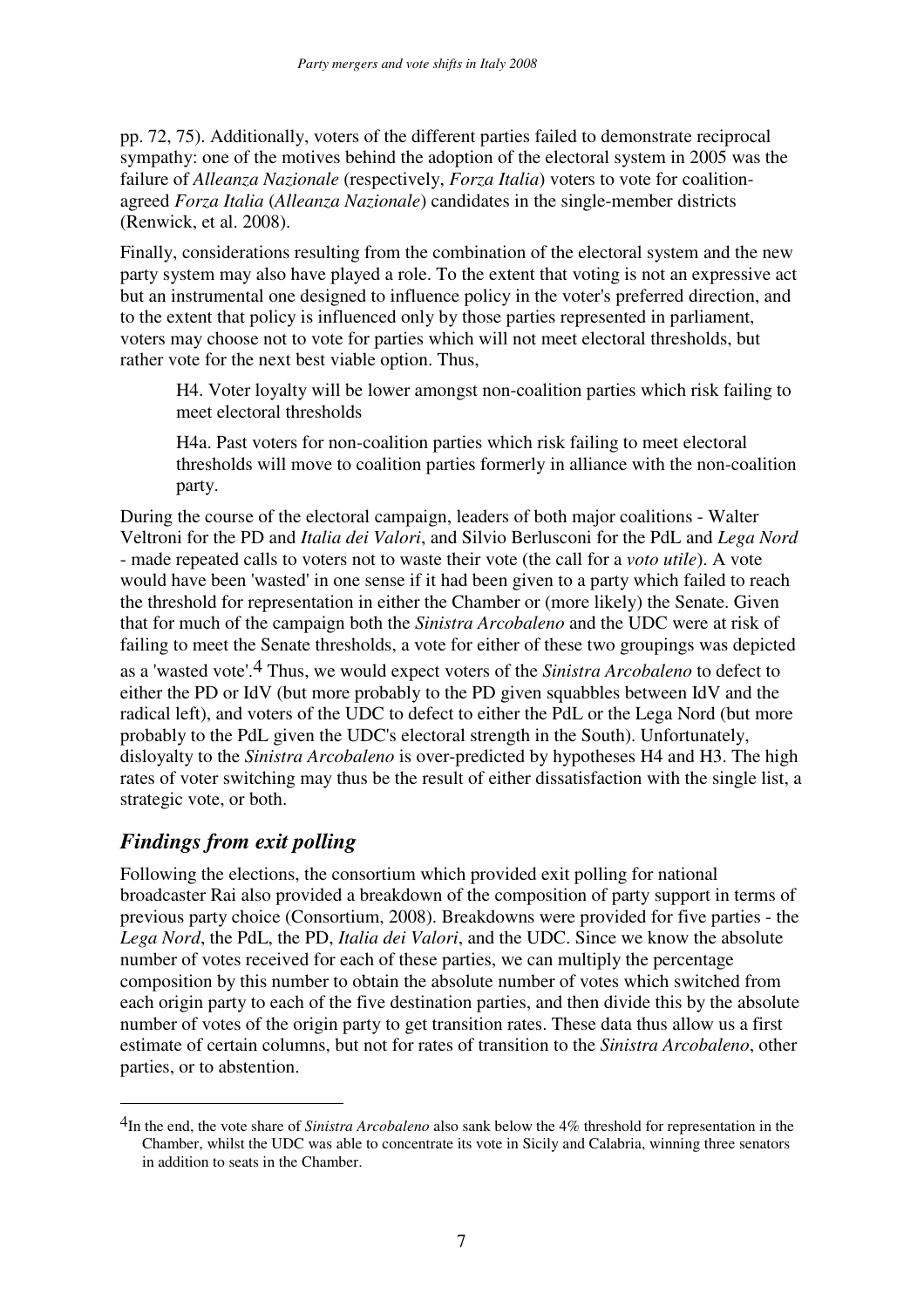pp. 72, 75). Additionally, voters of the different parties failed to demonstrate reciprocal sympathy: one of the motives behind the adoption of the electoral system in 2005 was the failure of *Alleanza Nazionale* (respectively, *Forza Italia*) voters to vote for coalitionagreed *Forza Italia* (*Alleanza Nazionale*) candidates in the single-member districts (Renwick, et al. 2008).

Finally, considerations resulting from the combination of the electoral system and the new party system may also have played a role. To the extent that voting is not an expressive act but an instrumental one designed to influence policy in the voter's preferred direction, and to the extent that policy is influenced only by those parties represented in parliament, voters may choose not to vote for parties which will not meet electoral thresholds, but rather vote for the next best viable option. Thus,

H4. Voter loyalty will be lower amongst non-coalition parties which risk failing to meet electoral thresholds

H4a. Past voters for non-coalition parties which risk failing to meet electoral thresholds will move to coalition parties formerly in alliance with the non-coalition party.

During the course of the electoral campaign, leaders of both major coalitions - Walter Veltroni for the PD and *Italia dei Valori*, and Silvio Berlusconi for the PdL and *Lega Nord* - made repeated calls to voters not to waste their vote (the call for a *voto utile*). A vote would have been 'wasted' in one sense if it had been given to a party which failed to reach the threshold for representation in either the Chamber or (more likely) the Senate. Given that for much of the campaign both the *Sinistra Arcobaleno* and the UDC were at risk of failing to meet the Senate thresholds, a vote for either of these two groupings was depicted as a 'wasted vote'.4 Thus, we would expect voters of the *Sinistra Arcobaleno* to defect to either the PD or IdV (but more probably to the PD given squabbles between IdV and the radical left), and voters of the UDC to defect to either the PdL or the Lega Nord (but more probably to the PdL given the UDC's electoral strength in the South). Unfortunately, disloyalty to the *Sinistra Arcobaleno* is over-predicted by hypotheses H4 and H3. The high rates of voter switching may thus be the result of either dissatisfaction with the single list, a strategic vote, or both.

### *Findings from exit polling*

Following the elections, the consortium which provided exit polling for national broadcaster Rai also provided a breakdown of the composition of party support in terms of previous party choice (Consortium, 2008). Breakdowns were provided for five parties - the *Lega Nord*, the PdL, the PD, *Italia dei Valori*, and the UDC. Since we know the absolute number of votes received for each of these parties, we can multiply the percentage composition by this number to obtain the absolute number of votes which switched from each origin party to each of the five destination parties, and then divide this by the absolute number of votes of the origin party to get transition rates. These data thus allow us a first estimate of certain columns, but not for rates of transition to the *Sinistra Arcobaleno*, other parties, or to abstention.

<sup>4</sup>In the end, the vote share of *Sinistra Arcobaleno* also sank below the 4% threshold for representation in the Chamber, whilst the UDC was able to concentrate its vote in Sicily and Calabria, winning three senators in addition to seats in the Chamber.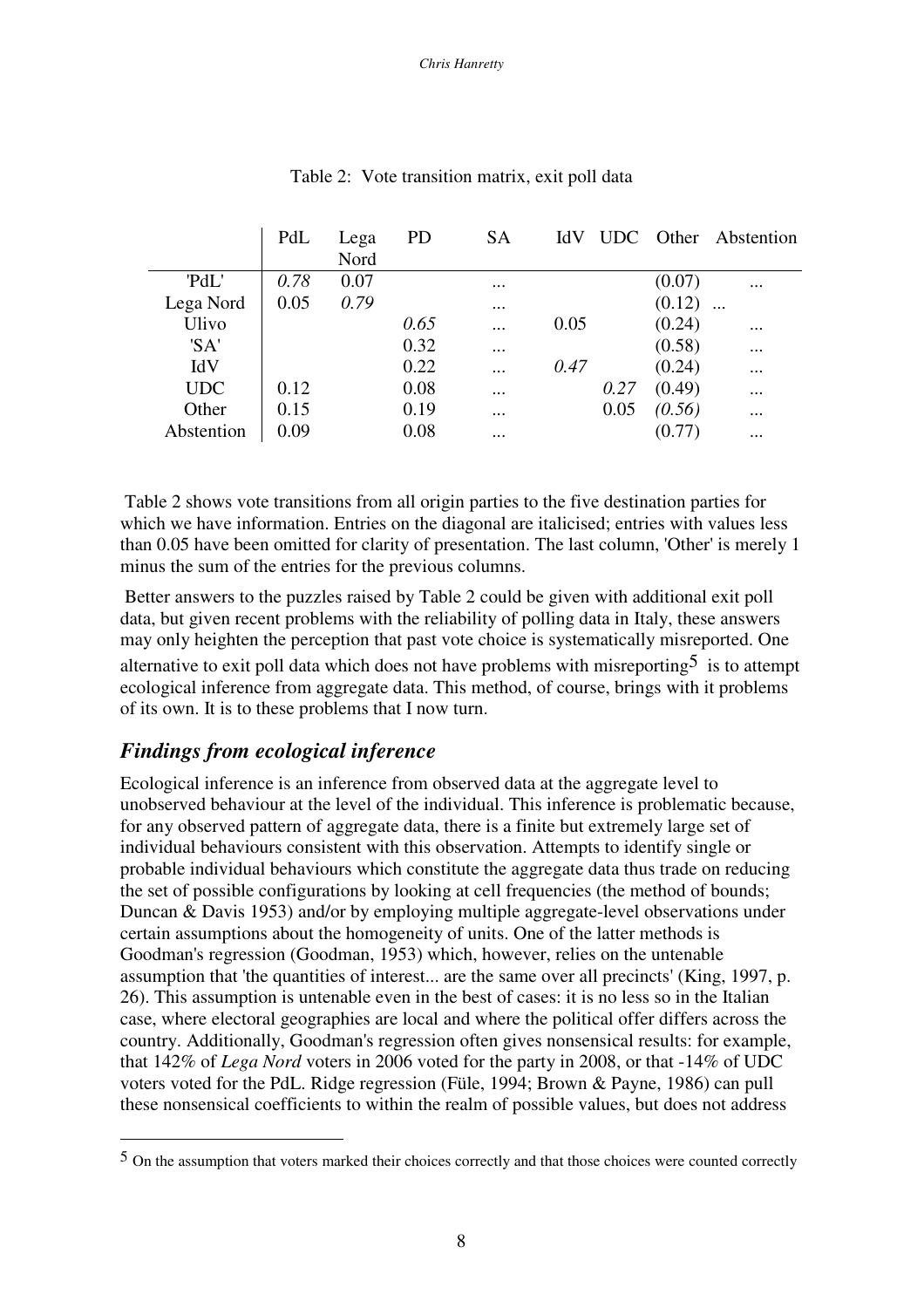|            | PdL  | Lega | <b>PD</b> | <b>SA</b> | IdV  |      |        | UDC Other Abstention |
|------------|------|------|-----------|-----------|------|------|--------|----------------------|
|            |      | Nord |           |           |      |      |        |                      |
| 'PdL'      | 0.78 | 0.07 |           | $\cdots$  |      |      | (0.07) | $\cdots$             |
| Lega Nord  | 0.05 | 0.79 |           | $\cdots$  |      |      | (0.12) |                      |
| Ulivo      |      |      | 0.65      | $\cdots$  | 0.05 |      | (0.24) | $\cdots$             |
| 'SA'       |      |      | 0.32      | $\ddotsc$ |      |      | (0.58) | $\cdots$             |
| IdV        |      |      | 0.22      | $\ddotsc$ | 0.47 |      | (0.24) | $\cdots$             |
| <b>UDC</b> | 0.12 |      | 0.08      | $\cdots$  |      | 0.27 | (0.49) | $\cdots$             |
| Other      | 0.15 |      | 0.19      |           |      | 0.05 | (0.56) | $\cdots$             |
| Abstention | 0.09 |      | 0.08      | $\ddotsc$ |      |      |        | $\cdots$             |

Table 2: Vote transition matrix, exit poll data

Table 2 shows vote transitions from all origin parties to the five destination parties for which we have information. Entries on the diagonal are italicised; entries with values less than 0.05 have been omitted for clarity of presentation. The last column, 'Other' is merely 1 minus the sum of the entries for the previous columns.

Better answers to the puzzles raised by Table 2 could be given with additional exit poll data, but given recent problems with the reliability of polling data in Italy, these answers may only heighten the perception that past vote choice is systematically misreported. One alternative to exit poll data which does not have problems with misreporting  $5$  is to attempt ecological inference from aggregate data. This method, of course, brings with it problems of its own. It is to these problems that I now turn.

## *Findings from ecological inference*

Ecological inference is an inference from observed data at the aggregate level to unobserved behaviour at the level of the individual. This inference is problematic because, for any observed pattern of aggregate data, there is a finite but extremely large set of individual behaviours consistent with this observation. Attempts to identify single or probable individual behaviours which constitute the aggregate data thus trade on reducing the set of possible configurations by looking at cell frequencies (the method of bounds; Duncan & Davis 1953) and/or by employing multiple aggregate-level observations under certain assumptions about the homogeneity of units. One of the latter methods is Goodman's regression (Goodman, 1953) which, however, relies on the untenable assumption that 'the quantities of interest... are the same over all precincts' (King, 1997, p. 26). This assumption is untenable even in the best of cases: it is no less so in the Italian case, where electoral geographies are local and where the political offer differs across the country. Additionally, Goodman's regression often gives nonsensical results: for example, that 142% of *Lega Nord* voters in 2006 voted for the party in 2008, or that -14% of UDC voters voted for the PdL. Ridge regression (Füle, 1994; Brown & Payne, 1986) can pull these nonsensical coefficients to within the realm of possible values, but does not address

<sup>5</sup> On the assumption that voters marked their choices correctly and that those choices were counted correctly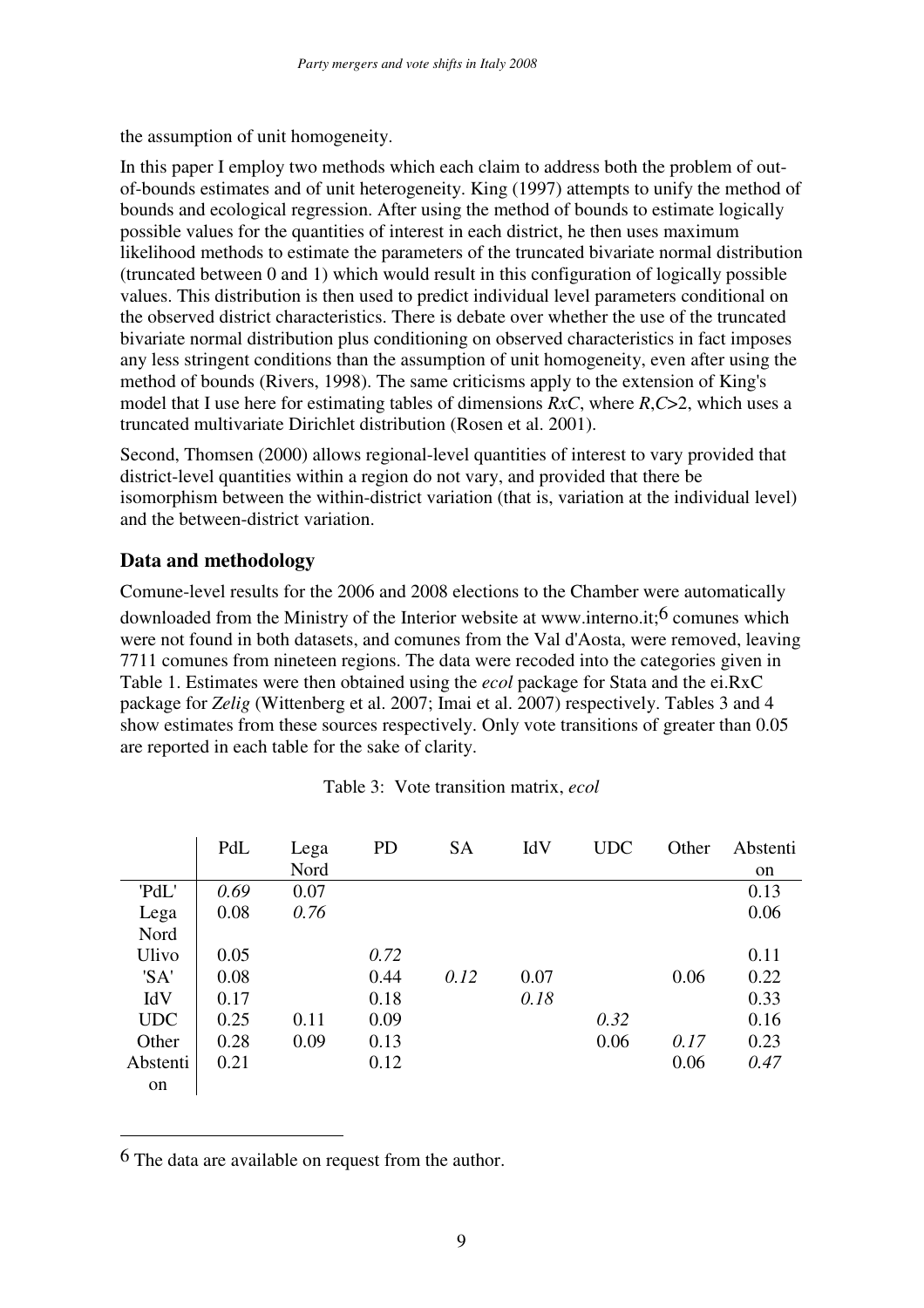the assumption of unit homogeneity.

In this paper I employ two methods which each claim to address both the problem of outof-bounds estimates and of unit heterogeneity. King (1997) attempts to unify the method of bounds and ecological regression. After using the method of bounds to estimate logically possible values for the quantities of interest in each district, he then uses maximum likelihood methods to estimate the parameters of the truncated bivariate normal distribution (truncated between 0 and 1) which would result in this configuration of logically possible values. This distribution is then used to predict individual level parameters conditional on the observed district characteristics. There is debate over whether the use of the truncated bivariate normal distribution plus conditioning on observed characteristics in fact imposes any less stringent conditions than the assumption of unit homogeneity, even after using the method of bounds (Rivers, 1998). The same criticisms apply to the extension of King's model that I use here for estimating tables of dimensions *RxC*, where *R*,*C*>2, which uses a truncated multivariate Dirichlet distribution (Rosen et al. 2001).

Second, Thomsen (2000) allows regional-level quantities of interest to vary provided that district-level quantities within a region do not vary, and provided that there be isomorphism between the within-district variation (that is, variation at the individual level) and the between-district variation.

#### **Data and methodology**

Comune-level results for the 2006 and 2008 elections to the Chamber were automatically downloaded from the Ministry of the Interior website at www.interno.it;<sup>6</sup> comunes which were not found in both datasets, and comunes from the Val d'Aosta, were removed, leaving 7711 comunes from nineteen regions. The data were recoded into the categories given in Table 1. Estimates were then obtained using the *ecol* package for Stata and the ei.RxC package for *Zelig* (Wittenberg et al. 2007; Imai et al. 2007) respectively. Tables 3 and 4 show estimates from these sources respectively. Only vote transitions of greater than 0.05 are reported in each table for the sake of clarity.

|            | PdL  | Lega<br>Nord | <b>PD</b> | <b>SA</b> | IdV  | <b>UDC</b> | Other | Abstenti<br>on |
|------------|------|--------------|-----------|-----------|------|------------|-------|----------------|
| 'PdL'      | 0.69 | 0.07         |           |           |      |            |       | 0.13           |
| Lega       | 0.08 | 0.76         |           |           |      |            |       | 0.06           |
| Nord       |      |              |           |           |      |            |       |                |
| Ulivo      | 0.05 |              | 0.72      |           |      |            |       | 0.11           |
| 'SA'       | 0.08 |              | 0.44      | 0.12      | 0.07 |            | 0.06  | 0.22           |
| IdV        | 0.17 |              | 0.18      |           | 0.18 |            |       | 0.33           |
| <b>UDC</b> | 0.25 | 0.11         | 0.09      |           |      | 0.32       |       | 0.16           |
| Other      | 0.28 | 0.09         | 0.13      |           |      | 0.06       | 0.17  | 0.23           |
| Abstenti   | 0.21 |              | 0.12      |           |      |            | 0.06  | 0.47           |
| on         |      |              |           |           |      |            |       |                |

Table 3: Vote transition matrix, *ecol*

6 The data are available on request from the author.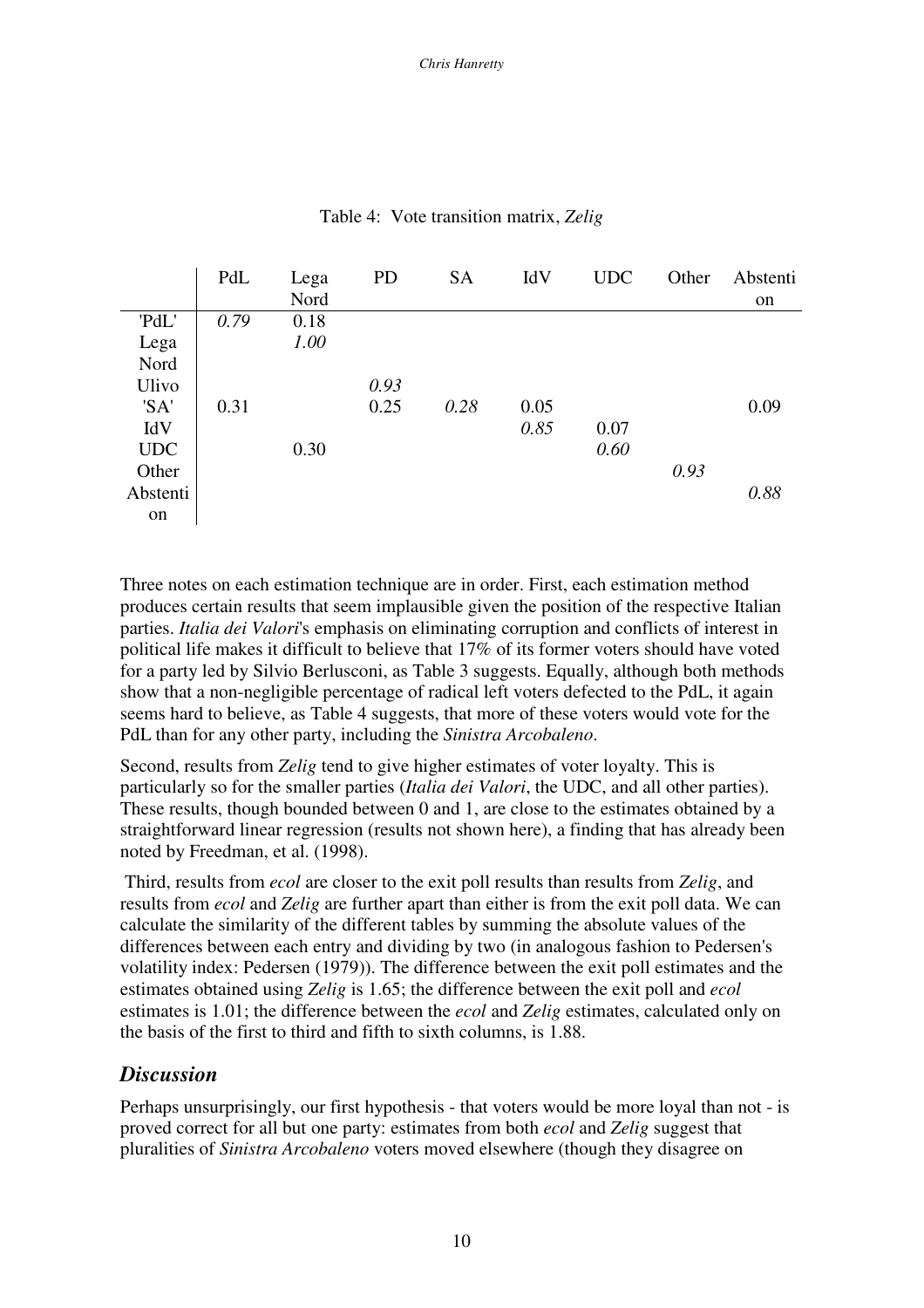|            | PdL  | Lega | <b>PD</b> | <b>SA</b> | IdV  | <b>UDC</b> | Other | Abstenti      |
|------------|------|------|-----------|-----------|------|------------|-------|---------------|
|            |      | Nord |           |           |      |            |       | <sub>on</sub> |
| 'PdL'      | 0.79 | 0.18 |           |           |      |            |       |               |
| Lega       |      | 1.00 |           |           |      |            |       |               |
| Nord       |      |      |           |           |      |            |       |               |
| Ulivo      |      |      | 0.93      |           |      |            |       |               |
| 'SA'       | 0.31 |      | 0.25      | 0.28      | 0.05 |            |       | 0.09          |
| IdV        |      |      |           |           | 0.85 | 0.07       |       |               |
| <b>UDC</b> |      | 0.30 |           |           |      | 0.60       |       |               |
| Other      |      |      |           |           |      |            | 0.93  |               |
| Abstenti   |      |      |           |           |      |            |       | 0.88          |
| on         |      |      |           |           |      |            |       |               |

Table 4: Vote transition matrix, *Zelig*

Three notes on each estimation technique are in order. First, each estimation method produces certain results that seem implausible given the position of the respective Italian parties. *Italia dei Valori*'s emphasis on eliminating corruption and conflicts of interest in political life makes it difficult to believe that 17% of its former voters should have voted for a party led by Silvio Berlusconi, as Table 3 suggests. Equally, although both methods show that a non-negligible percentage of radical left voters defected to the PdL, it again seems hard to believe, as Table 4 suggests, that more of these voters would vote for the PdL than for any other party, including the *Sinistra Arcobaleno*.

Second, results from *Zelig* tend to give higher estimates of voter loyalty. This is particularly so for the smaller parties (*Italia dei Valori*, the UDC, and all other parties). These results, though bounded between 0 and 1, are close to the estimates obtained by a straightforward linear regression (results not shown here), a finding that has already been noted by Freedman, et al. (1998).

Third, results from *ecol* are closer to the exit poll results than results from *Zelig*, and results from *ecol* and *Zelig* are further apart than either is from the exit poll data. We can calculate the similarity of the different tables by summing the absolute values of the differences between each entry and dividing by two (in analogous fashion to Pedersen's volatility index: Pedersen (1979)). The difference between the exit poll estimates and the estimates obtained using *Zelig* is 1.65; the difference between the exit poll and *ecol* estimates is 1.01; the difference between the *ecol* and *Zelig* estimates, calculated only on the basis of the first to third and fifth to sixth columns, is 1.88.

#### *Discussion*

Perhaps unsurprisingly, our first hypothesis - that voters would be more loyal than not - is proved correct for all but one party: estimates from both *ecol* and *Zelig* suggest that pluralities of *Sinistra Arcobaleno* voters moved elsewhere (though they disagree on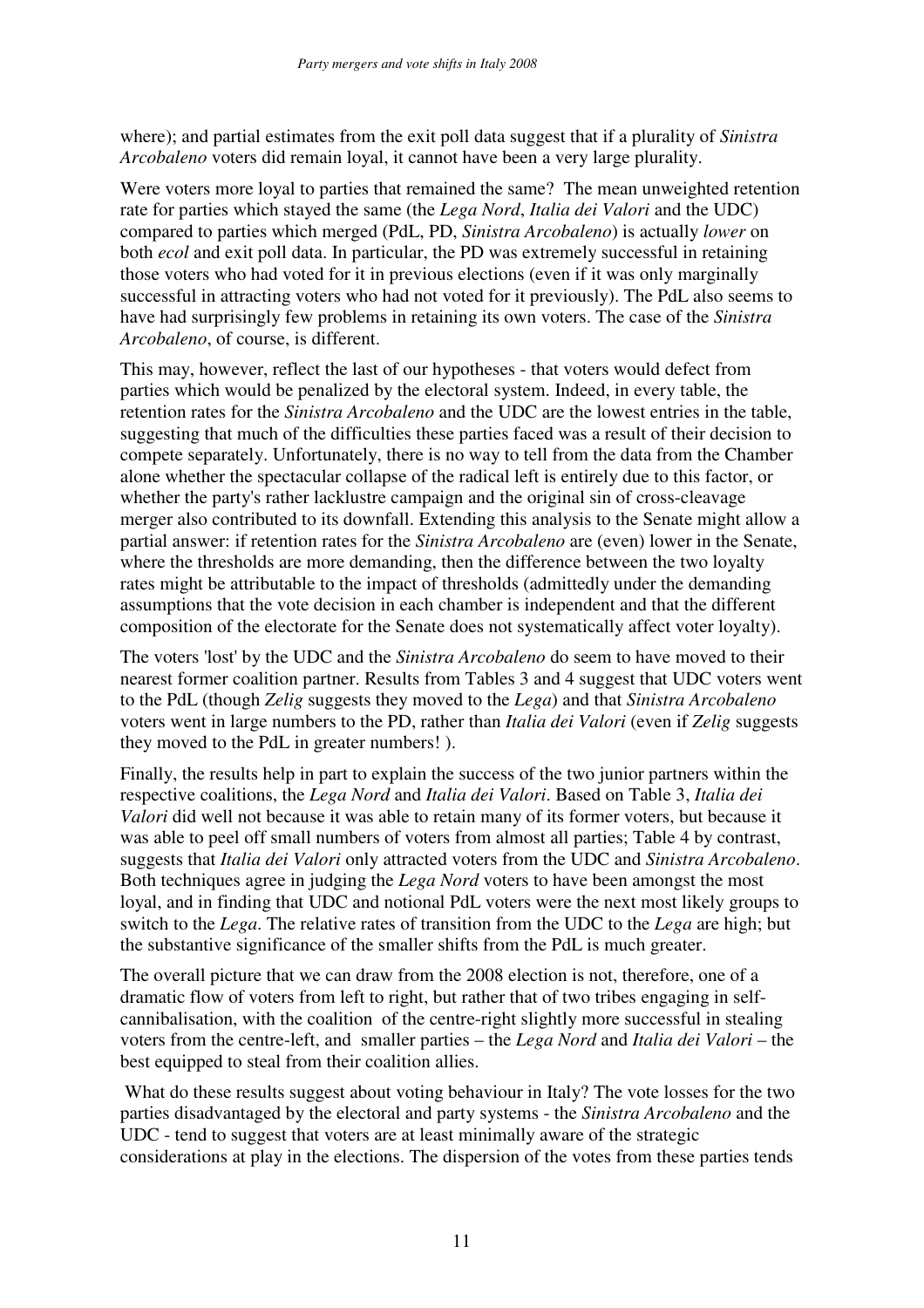where); and partial estimates from the exit poll data suggest that if a plurality of *Sinistra Arcobaleno* voters did remain loyal, it cannot have been a very large plurality.

Were voters more loyal to parties that remained the same? The mean unweighted retention rate for parties which stayed the same (the *Lega Nord*, *Italia dei Valori* and the UDC) compared to parties which merged (PdL, PD, *Sinistra Arcobaleno*) is actually *lower* on both *ecol* and exit poll data. In particular, the PD was extremely successful in retaining those voters who had voted for it in previous elections (even if it was only marginally successful in attracting voters who had not voted for it previously). The PdL also seems to have had surprisingly few problems in retaining its own voters. The case of the *Sinistra Arcobaleno*, of course, is different.

This may, however, reflect the last of our hypotheses - that voters would defect from parties which would be penalized by the electoral system. Indeed, in every table, the retention rates for the *Sinistra Arcobaleno* and the UDC are the lowest entries in the table, suggesting that much of the difficulties these parties faced was a result of their decision to compete separately. Unfortunately, there is no way to tell from the data from the Chamber alone whether the spectacular collapse of the radical left is entirely due to this factor, or whether the party's rather lacklustre campaign and the original sin of cross-cleavage merger also contributed to its downfall. Extending this analysis to the Senate might allow a partial answer: if retention rates for the *Sinistra Arcobaleno* are (even) lower in the Senate, where the thresholds are more demanding, then the difference between the two loyalty rates might be attributable to the impact of thresholds (admittedly under the demanding assumptions that the vote decision in each chamber is independent and that the different composition of the electorate for the Senate does not systematically affect voter loyalty).

The voters 'lost' by the UDC and the *Sinistra Arcobaleno* do seem to have moved to their nearest former coalition partner. Results from Tables 3 and 4 suggest that UDC voters went to the PdL (though *Zelig* suggests they moved to the *Lega*) and that *Sinistra Arcobaleno* voters went in large numbers to the PD, rather than *Italia dei Valori* (even if *Zelig* suggests they moved to the PdL in greater numbers! ).

Finally, the results help in part to explain the success of the two junior partners within the respective coalitions, the *Lega Nord* and *Italia dei Valori*. Based on Table 3, *Italia dei Valori* did well not because it was able to retain many of its former voters, but because it was able to peel off small numbers of voters from almost all parties; Table 4 by contrast, suggests that *Italia dei Valori* only attracted voters from the UDC and *Sinistra Arcobaleno*. Both techniques agree in judging the *Lega Nord* voters to have been amongst the most loyal, and in finding that UDC and notional PdL voters were the next most likely groups to switch to the *Lega*. The relative rates of transition from the UDC to the *Lega* are high; but the substantive significance of the smaller shifts from the PdL is much greater.

The overall picture that we can draw from the 2008 election is not, therefore, one of a dramatic flow of voters from left to right, but rather that of two tribes engaging in selfcannibalisation, with the coalition of the centre-right slightly more successful in stealing voters from the centre-left, and smaller parties – the *Lega Nord* and *Italia dei Valori* – the best equipped to steal from their coalition allies.

What do these results suggest about voting behaviour in Italy? The vote losses for the two parties disadvantaged by the electoral and party systems - the *Sinistra Arcobaleno* and the UDC - tend to suggest that voters are at least minimally aware of the strategic considerations at play in the elections. The dispersion of the votes from these parties tends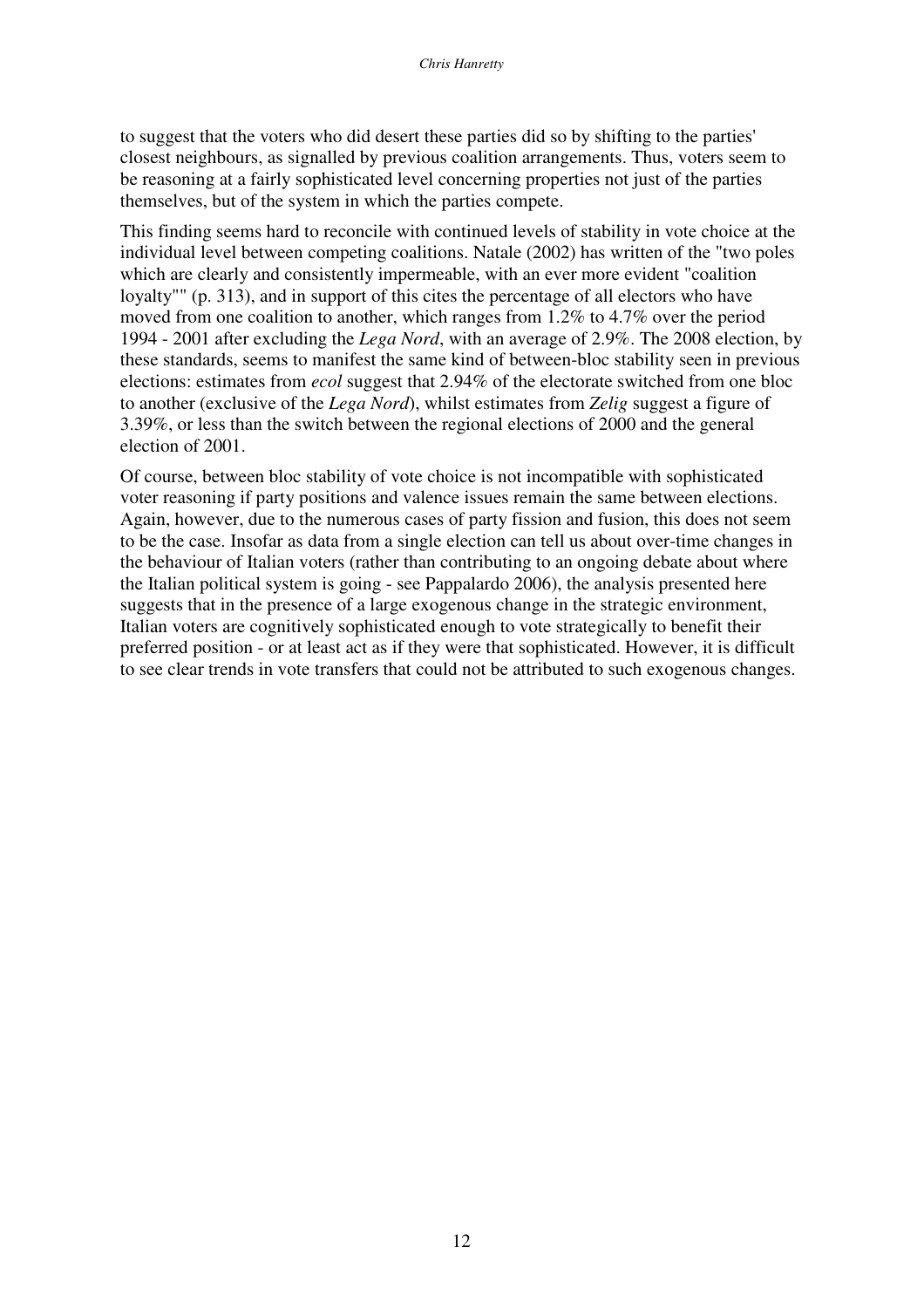to suggest that the voters who did desert these parties did so by shifting to the parties' closest neighbours, as signalled by previous coalition arrangements. Thus, voters seem to be reasoning at a fairly sophisticated level concerning properties not just of the parties themselves, but of the system in which the parties compete.

This finding seems hard to reconcile with continued levels of stability in vote choice at the individual level between competing coalitions. Natale (2002) has written of the "two poles which are clearly and consistently impermeable, with an ever more evident "coalition loyalty"" (p. 313), and in support of this cites the percentage of all electors who have moved from one coalition to another, which ranges from 1.2% to 4.7% over the period 1994 - 2001 after excluding the *Lega Nord*, with an average of 2.9%. The 2008 election, by these standards, seems to manifest the same kind of between-bloc stability seen in previous elections: estimates from *ecol* suggest that 2.94% of the electorate switched from one bloc to another (exclusive of the *Lega Nord*), whilst estimates from *Zelig* suggest a figure of 3.39%, or less than the switch between the regional elections of 2000 and the general election of 2001.

Of course, between bloc stability of vote choice is not incompatible with sophisticated voter reasoning if party positions and valence issues remain the same between elections. Again, however, due to the numerous cases of party fission and fusion, this does not seem to be the case. Insofar as data from a single election can tell us about over-time changes in the behaviour of Italian voters (rather than contributing to an ongoing debate about where the Italian political system is going - see Pappalardo 2006), the analysis presented here suggests that in the presence of a large exogenous change in the strategic environment, Italian voters are cognitively sophisticated enough to vote strategically to benefit their preferred position - or at least act as if they were that sophisticated. However, it is difficult to see clear trends in vote transfers that could not be attributed to such exogenous changes.